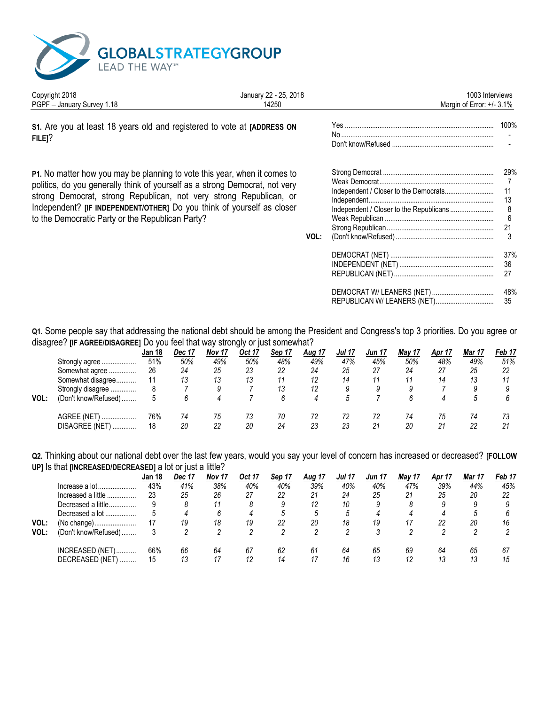

Copyright 2018

 $\mathbf{r}$ 

| <b>OUPVIRILL ZU IU</b><br>PGPF - January Survey 1.18                                                                                                                                                                                                                                                                                                         | $V = L$ $L$ $L$ $L$ $L$ $L$ $L$ $V$ $V$<br>14250 |      | טעסוע וחוור המח<br>Margin of Error: $+/- 3.1\%$ |                                 |
|--------------------------------------------------------------------------------------------------------------------------------------------------------------------------------------------------------------------------------------------------------------------------------------------------------------------------------------------------------------|--------------------------------------------------|------|-------------------------------------------------|---------------------------------|
| S1. Are you at least 18 years old and registered to vote at [ADDRESS ON<br>$FILE$ <sup>?</sup>                                                                                                                                                                                                                                                               |                                                  |      |                                                 |                                 |
| P1. No matter how you may be planning to vote this year, when it comes to<br>politics, do you generally think of yourself as a strong Democrat, not very<br>strong Democrat, strong Republican, not very strong Republican, or<br>Independent? [IF INDEPENDENT/OTHER] Do you think of yourself as closer<br>to the Democratic Party or the Republican Party? |                                                  | VOL: |                                                 | 29%<br>11<br>13<br>8<br>6<br>21 |
|                                                                                                                                                                                                                                                                                                                                                              |                                                  |      |                                                 | 37%<br>36<br>27<br>48%<br>35    |

January 22 - 25, 2018

1003 Interviews

Q1. Some people say that addressing the national debt should be among the President and Congress's top 3 priorities. Do you agree or disagree? [IF AGREE/DISAGREE] Do you feel that way strongly or just somewhat?

| ັ    |                            |        |        |        | . .    |        |               |               |        |        |        |        |            |
|------|----------------------------|--------|--------|--------|--------|--------|---------------|---------------|--------|--------|--------|--------|------------|
|      |                            | Jan 18 | Dec 17 | Nov 17 | Oct 17 | Sep 17 | <u>Aug 17</u> | <b>Jul 17</b> | Jun 17 | May 17 | Apr 17 | Mar 17 | Feb 17     |
|      | Strongly agree             | 51%    | 50%    | 49%    | 50%    | 48%    | 49%           | 47%           | 45%    | 50%    | 48%    | 49%    | 51%        |
|      | Somewhat agree             | 26     | 24     | 25     | 23     | 22     | 24            | 25            |        | 24     | 27     | 25     | 22         |
|      | Somewhat disagree          |        |        | 13     | 13     | 11     | 12            | 14            |        |        | 14     | 13     |            |
|      | Strongly disagree          |        |        |        |        | 13     |               |               |        |        |        |        |            |
| VOL: | (Don't know/Refused)       |        |        |        |        |        |               |               |        |        |        |        |            |
|      | AGREE (NET)                | 76%    | 74     | 75     | 73     | 70     |               | 72            |        | 74     | 75     | 74     |            |
|      | <b>DISAGREE (NET)</b><br>. | 18     | 20     | 22     | 20     | 24     | 23            | 23            | 21     | 20     |        | 22     | $^{\circ}$ |

Q2. Thinking about our national debt over the last few years, would you say your level of concern has increased or decreased? [FOLLOW UP] Is that [INCREASED/DECREASED] a lot or just a little?

|      |                           | Jan 18 | Dec 17 | Nov 17 | Oct 17 | Sep 17 | <b>Aug 17</b> | Jul 17 | Jun 17 | May 17 | Apr 17 | Mar 17 | Feb 17 |
|------|---------------------------|--------|--------|--------|--------|--------|---------------|--------|--------|--------|--------|--------|--------|
|      |                           | 43%    | 41%    | 38%    | 40%    | 40%    | 39%           | 40%    | 40%    | 47%    | 39%    | 44%    | 45%    |
|      | Increased a little        | 23     | 25     | 26     | 27     | 22     | 21            | 24     | 25     | 21     | 25     | 20     | 22     |
|      | Decreased a little        |        |        | 11     |        |        | 12            | 10     |        |        |        |        |        |
|      | Decreased a lot           |        |        |        |        | h      |               | .5     |        |        |        |        |        |
| VOL: | (No change)               |        | 19     | 18     | 19     | 22     | 20            | 18     | 19     |        | 22     | 20     | 16     |
| VOL: | (Don't know/Refused)      |        |        |        |        |        |               |        |        |        |        |        |        |
|      | INCREASED (NET)           | 66%    | 66     | 64     | 67     | 62     | 61            | 64     | 65     | 69     | 64     | 65     | 67     |
|      | <b>DECREASED (NET</b><br> | 15     |        | 17     |        | 14     |               | 16     | 13     | 12     | 13     | 13     | 15     |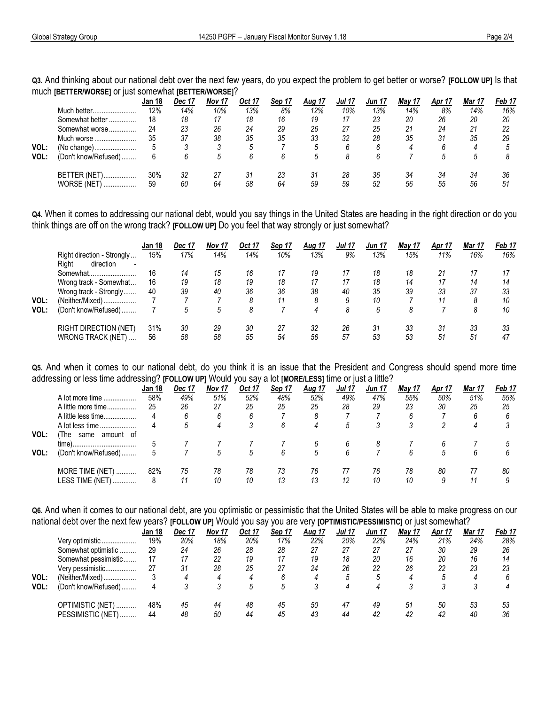Q3. And thinking about our national debt over the next few years, do you expect the problem to get better or worse? [FOLLOW UP] Is that much IBETTER/WORSEI or just somewhat IBETTER/WORSEI?

|      | -                                      | Jan 18    | Dec 17   | Nov 17   | Oct 17   | Sep 17   | <b>Aug 17</b> | Jul 17   | Jun 17   | May 17   | Apr 17   | Mar 17   | Feb 17   |
|------|----------------------------------------|-----------|----------|----------|----------|----------|---------------|----------|----------|----------|----------|----------|----------|
|      | Much better                            | 12%       | 14%      | 10%      | 13%      | 8%       | 12%           | 10%      | 13%      | 14%      | 8%       | 14%      | 16%      |
|      | Somewhat better<br>                    | 18        | 18       | 17       | 18       | 16       | 19            | 17       | 23       | 20       | 26       | 20       | 20       |
|      | Somewhat worse                         | 24        | 23       | 26       | 24       | 29       | 26            | 27       | 25       | 21       | 24       | 21       | 22       |
|      | Much worse                             | 35        | 37       | 38       | 35       | 35       | 33            | 32       | 28       | 35       | 31       | 35       | 29       |
| VOL: | (No change)                            |           |          |          |          |          |               | h        |          |          |          | 4        |          |
| VOL: | (Don't know/Refused)                   |           |          | .h       |          | h        |               |          |          |          |          |          |          |
|      | BETTER (NET)<br><b>WORSE (NET)</b><br> | 30%<br>59 | 32<br>60 | 27<br>64 | 31<br>58 | 23<br>64 | 31<br>59      | 28<br>59 | 36<br>52 | 34<br>56 | 34<br>55 | 34<br>56 | 36<br>51 |

Q4. When it comes to addressing our national debt, would you say things in the United States are heading in the right direction or do you think things are off on the wrong track? [FOLLOW UP] Do you feel that way strongly or just somewhat?

|      |                                      | Jan 18 | <b>Dec 17</b> | Nov 17 | Oct 17 | Sep 17 | <u>Aug 17</u> | <b>Jul 17</b> | Jun 17 | <b>May 17</b> | Apr 17 | Mar 17 | Feb 17 |
|------|--------------------------------------|--------|---------------|--------|--------|--------|---------------|---------------|--------|---------------|--------|--------|--------|
|      | Right direction - Strongly           | 15%    | 17%           | 14%    | 14%    | 10%    | 13%           | 9%            | 13%    | 15%           | 11%    | 16%    | 16%    |
|      | direction<br>Riaht<br>$\blacksquare$ |        |               |        |        |        |               |               |        |               |        |        |        |
|      | Somewhat                             | 16     | 14            | 15     | 16     | 17     | 19            |               | 18     | 18            | 21     |        |        |
|      | Wrong track - Somewhat               | 16     | 19            | 18     | 19     | 18     | 17            | 17            | 18     | 14            | 17     | 14     | 14     |
|      | Wrong track - Strongly               | 40     | 39            | 40     | 36     | 36     | 38            | 40            | 35     | 39            | 33     | 37     | 33     |
| VOL: | (Neither/Mixed)                      |        |               |        |        | 11     |               | 9             | 10     |               |        |        | 10     |
| VOL: | (Don't know/Refused)                 |        | 5             | 5      |        |        | 4             | 8             | հ      | 8             |        |        | 10     |
|      | <b>RIGHT DIRECTION (NET)</b>         | 31%    | 30            | 29     | 30     | 27     | 32            | 26            | 31     | 33            | 31     | 33     | 33     |
|      | WRONG TRACK (NET)                    | 56     | 58            | 58     | 55     | 54     | 56            | 57            | 53     | 53            | 51     | 51     | 47     |

Q5. And when it comes to our national debt, do you think it is an issue that the President and Congress should spend more time addressing or less time addressing? IFOLLOW UPI Would you say a lot [MORE/LESS] time or just a little?

|      | ີ                          |        |        |        |        |        |               |               |        |        |               |        |        |
|------|----------------------------|--------|--------|--------|--------|--------|---------------|---------------|--------|--------|---------------|--------|--------|
|      |                            | Jan 18 | Dec 17 | Nov 17 | Oct 17 | Sep 17 | <u>Aug 17</u> | <b>Jul 17</b> | Jun 17 | May 17 | <b>Apr 17</b> | Mar 17 | Feb 17 |
|      | A lot more time            | 58%    | 49%    | 51%    | 52%    | 48%    | 52%           | 49%           | 47%    | 55%    | 50%           | 51%    | 55%    |
|      | A little more time         | 25     | 26     | 27     | 25     | 25     | 25            | 28            | 29     | 23     | 30            | 25     | 25     |
|      | A little less time         |        |        |        |        |        |               |               |        | b      |               |        |        |
|      | A lot less time            |        |        |        |        | 6      | 4             | 5             |        |        |               |        |        |
| VOL: | same<br>amount of<br>The l |        |        |        |        |        |               |               |        |        |               |        |        |
|      |                            |        |        |        |        |        |               |               |        |        |               |        |        |
| VOL: | (Don't know/Refused)       |        |        |        | .5     | h      | .5            | 6             |        | h      |               |        |        |
|      | MORE TIME (NET)            | 82%    | 75     | 78     | 78     | 73     | 76            |               | 76     | 78     | 80            |        | 80     |
|      | <b>LESS TIME (NET)</b><br> |        | 11     | 10     | 10     | 13     | 13            | 12            | 10     | 10     |               |        |        |
|      |                            |        |        |        |        |        |               |               |        |        |               |        |        |

Q6. And when it comes to our national debt, are you optimistic or pessimistic that the United States will be able to make progress on our national debt over the next few years? IFOLLOW UPI Would you say you are very **IOPTIMISTIC/PESSIMISTICI** or just somewhat?

|      |                        |        |        |                   |        |        | .             |              |               | $ -$   | .      |        |        |
|------|------------------------|--------|--------|-------------------|--------|--------|---------------|--------------|---------------|--------|--------|--------|--------|
|      |                        | Jan 18 | Dec 17 | Nov <sub>17</sub> | Oct 17 | Sep 17 | <u>Aug 17</u> | Jul 17       | <b>Jun 17</b> | May 17 | Apr 17 | Mar 17 | Feb 17 |
|      | Very optimistic        | 19%    | 20%    | 18%               | 20%    | 17%    | 22%           | 20%          | 22%           | 24%    | 21%    | 24%    | 28%    |
|      | Somewhat optimistic    | 29     | 24     | 26                | 28     | 28     | 27            | 27           | 27            | 27     | 30     | 29     | 26     |
|      | Somewhat pessimistic   | 17     |        | 22                | 19     | 17     | 19            | 18           | 20            | 16     | 20     | 16     | 14     |
|      | Very pessimistic       | 27     | -31    | 28                | 25     | 27     | 24            | 26           | 22            | 26     | 22     | 23     | 23     |
| VOL: | (Neither/Mixed)        |        |        |                   |        | h      |               | <sup>5</sup> |               |        |        |        |        |
| VOL: | (Don't know/Refused)   |        |        |                   |        |        |               |              |               |        |        |        |        |
|      | OPTIMISTIC (NET)       | 48%    | 45     | 44                | 48     | 45     | 50            | 47           | 49            | 51     | 50     | 53     | 53     |
|      | PESSIMISTIC (NET)<br>, | 44     | 48     | 50                | 44     | 45     | 43            | 44           | 42            | 42     | 42     | 40     | 36     |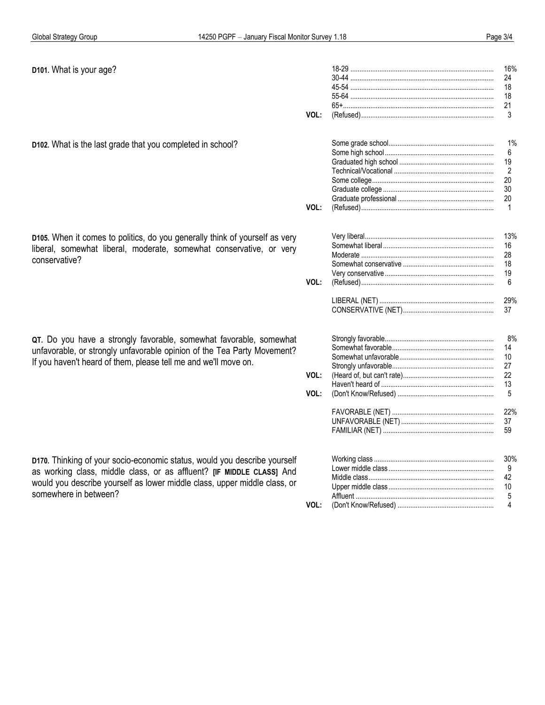| D101. What is your age?                                                     |      | 16%          |
|-----------------------------------------------------------------------------|------|--------------|
|                                                                             |      | 24           |
|                                                                             |      | 18           |
|                                                                             |      | 18           |
|                                                                             |      | 21           |
|                                                                             | VOL: | 3            |
| D102. What is the last grade that you completed in school?                  |      | 1%           |
|                                                                             |      | 6            |
|                                                                             |      | 19           |
|                                                                             |      | 2            |
|                                                                             |      | 20           |
|                                                                             |      | 30           |
|                                                                             |      |              |
|                                                                             |      | 20           |
|                                                                             | VOL: | $\mathbf{1}$ |
| D105. When it comes to politics, do you generally think of yourself as very |      | 13%          |
|                                                                             |      | 16           |
| liberal, somewhat liberal, moderate, somewhat conservative, or very         |      | 28           |
| conservative?                                                               |      | 18           |
|                                                                             |      | 19           |
|                                                                             | VOL: | 6            |
|                                                                             |      | 29%          |
|                                                                             |      | 37           |
|                                                                             |      | 8%           |
| QT. Do you have a strongly favorable, somewhat favorable, somewhat          |      | 14           |
| unfavorable, or strongly unfavorable opinion of the Tea Party Movement?     |      | 10           |
| If you haven't heard of them, please tell me and we'll move on.             |      | 27           |
|                                                                             | VOL: | 22           |
|                                                                             |      |              |
|                                                                             | VOL: | 13<br>5      |
|                                                                             |      | 22%          |
|                                                                             |      | 37           |
|                                                                             |      | 59           |
|                                                                             |      |              |
| D170. Thinking of your socio-economic status, would you describe yourself   |      | 30%          |
| as working class, middle class, or as affluent? [IF MIDDLE CLASS] And       |      | 9            |
| would you describe yourself as lower middle class, upper middle class, or   |      | 42           |
| somewhere in between?                                                       |      | 10           |
|                                                                             |      | 5            |
|                                                                             | VOL: | 4            |